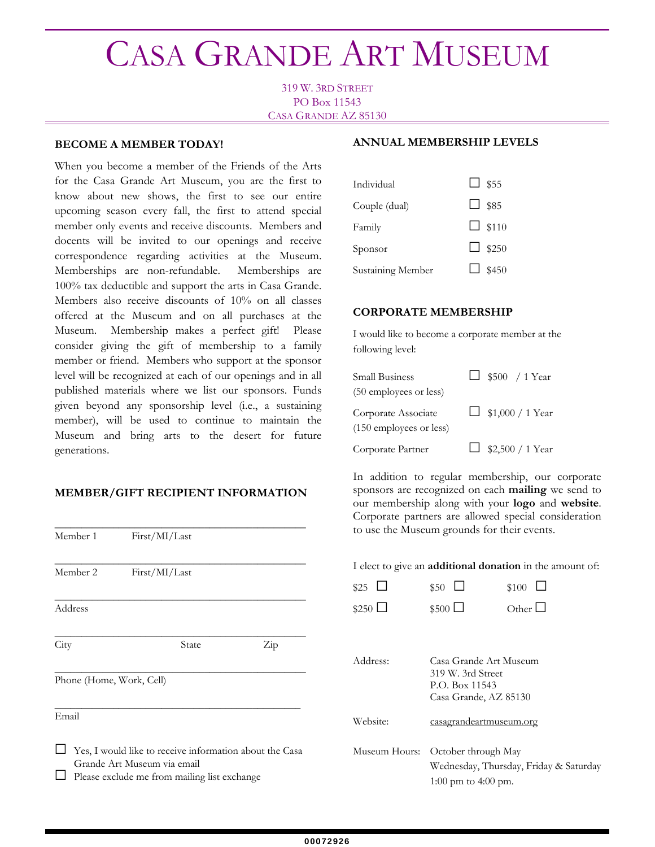# CASA GRANDE ART MUSEUM

319 W. 3RD STREET PO Box 11543 CASA GRANDE AZ 85130

#### **BECOME A MEMBER TODAY!**

When you become a member of the Friends of the Arts for the Casa Grande Art Museum, you are the first to know about new shows, the first to see our entire upcoming season every fall, the first to attend special member only events and receive discounts. Members and docents will be invited to our openings and receive correspondence regarding activities at the Museum. Memberships are non-refundable. Memberships are 100% tax deductible and support the arts in Casa Grande. Members also receive discounts of 10% on all classes offered at the Museum and on all purchases at the Museum. Membership makes a perfect gift! Please consider giving the gift of membership to a family member or friend. Members who support at the sponsor level will be recognized at each of our openings and in all published materials where we list our sponsors. Funds given beyond any sponsorship level (i.e., a sustaining member), will be used to continue to maintain the Museum and bring arts to the desert for future generations.

## **MEMBER/GIFT RECIPIENT INFORMATION**

| Member 1                 | First/MI/Last                                                                                                                          |     |
|--------------------------|----------------------------------------------------------------------------------------------------------------------------------------|-----|
| Member 2                 | First/MI/Last                                                                                                                          |     |
| Address                  |                                                                                                                                        |     |
| City                     | State                                                                                                                                  | Zip |
| Phone (Home, Work, Cell) |                                                                                                                                        |     |
| Email                    |                                                                                                                                        |     |
|                          | Yes, I would like to receive information about the Casa<br>Grande Art Museum via email<br>Please exclude me from mailing list exchange |     |

#### **ANNUAL MEMBERSHIP LEVELS**

| Individual        | $\Box$ \$55  |
|-------------------|--------------|
| Couple (dual)     | $\Box$ \$85  |
| Family            | $\Box$ \$110 |
| Sponsor           | $\Box$ \$250 |
| Sustaining Member | $\Box$ \$450 |

### **CORPORATE MEMBERSHIP**

I would like to become a corporate member at the following level:

| <b>Small Business</b><br>(50 employees or less) | $\Box$ \$500 / 1 Year   |
|-------------------------------------------------|-------------------------|
| Corporate Associate<br>(150 employees or less)  | $\Box$ \$1,000 / 1 Year |
| Corporate Partner                               | $\Box$ \$2,500 / 1 Year |

In addition to regular membership, our corporate sponsors are recognized on each **mailing** we send to our membership along with your **logo** and **website**. Corporate partners are allowed special consideration to use the Museum grounds for their events.

I elect to give an **additional donation** in the amount of:

| \$25             | \$50                                                                                   | \$100                    |
|------------------|----------------------------------------------------------------------------------------|--------------------------|
| $$250$ $\square$ | $$500$ $\Box$                                                                          | $Other$   $\blacksquare$ |
|                  |                                                                                        |                          |
| Address:         | Casa Grande Art Museum<br>319 W. 3rd Street<br>P.O. Box 11543<br>Casa Grande, AZ 85130 |                          |
| Website:         | casagrandeartmuseum.org                                                                |                          |
| Museum Hours:    | October through May<br>Wednesday, Thursday, Friday & Saturday<br>1:00 pm to 4:00 pm.   |                          |